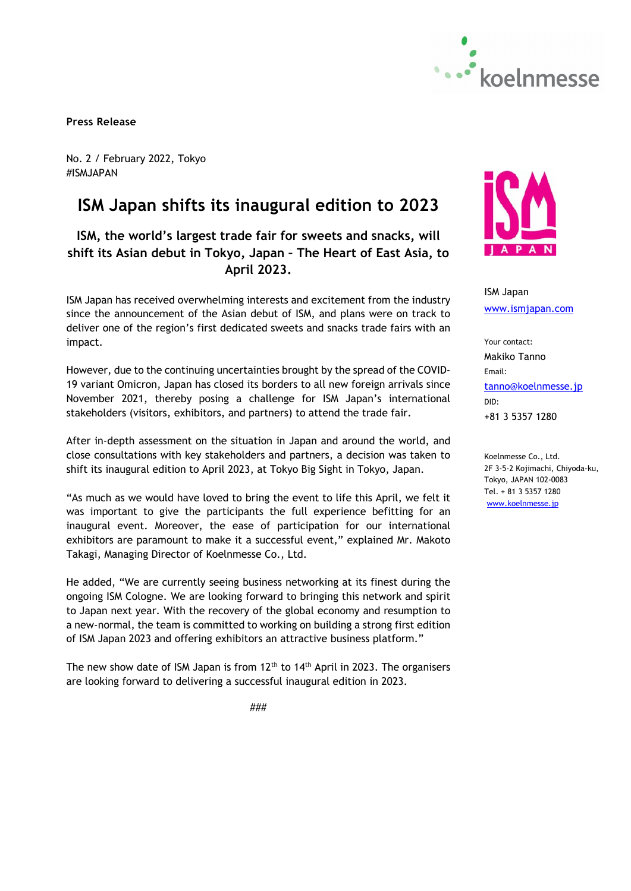

**Press Release** 

No. 2 / February 2022, Tokyo #ISMJAPAN

# **ISM Japan shifts its inaugural edition to 2023**

# **ISM, the world's largest trade fair for sweets and snacks, will shift its Asian debut in Tokyo, Japan – The Heart of East Asia, to April 2023.**

ISM Japan has received overwhelming interests and excitement from the industry since the announcement of the Asian debut of ISM, and plans were on track to deliver one of the region's first dedicated sweets and snacks trade fairs with an impact.

However, due to the continuing uncertainties brought by the spread of the COVID-19 variant Omicron, Japan has closed its borders to all new foreign arrivals since November 2021, thereby posing a challenge for ISM Japan's international stakeholders (visitors, exhibitors, and partners) to attend the trade fair.

After in-depth assessment on the situation in Japan and around the world, and close consultations with key stakeholders and partners, a decision was taken to shift its inaugural edition to April 2023, at Tokyo Big Sight in Tokyo, Japan.

"As much as we would have loved to bring the event to life this April, we felt it was important to give the participants the full experience befitting for an inaugural event. Moreover, the ease of participation for our international exhibitors are paramount to make it a successful event," explained Mr. Makoto Takagi, Managing Director of Koelnmesse Co., Ltd.

He added, "We are currently seeing business networking at its finest during the ongoing ISM Cologne. We are looking forward to bringing this network and spirit to Japan next year. With the recovery of the global economy and resumption to a new-normal, the team is committed to working on building a strong first edition of ISM Japan 2023 and offering exhibitors an attractive business platform."

The new show date of ISM Japan is from  $12<sup>th</sup>$  to  $14<sup>th</sup>$  April in 2023. The organisers are looking forward to delivering a successful inaugural edition in 2023.



ISM Japan www.ismjapan.com

Your contact: Makiko Tanno Email: tanno@koelnmesse.jp DID: +81 3 5357 1280

Koelnmesse Co., Ltd. 2F 3-5-2 Kojimachi, Chiyoda-ku, Tokyo, JAPAN 102-0083 Tel. + 81 3 5357 1280 www.koelnmesse.jp

###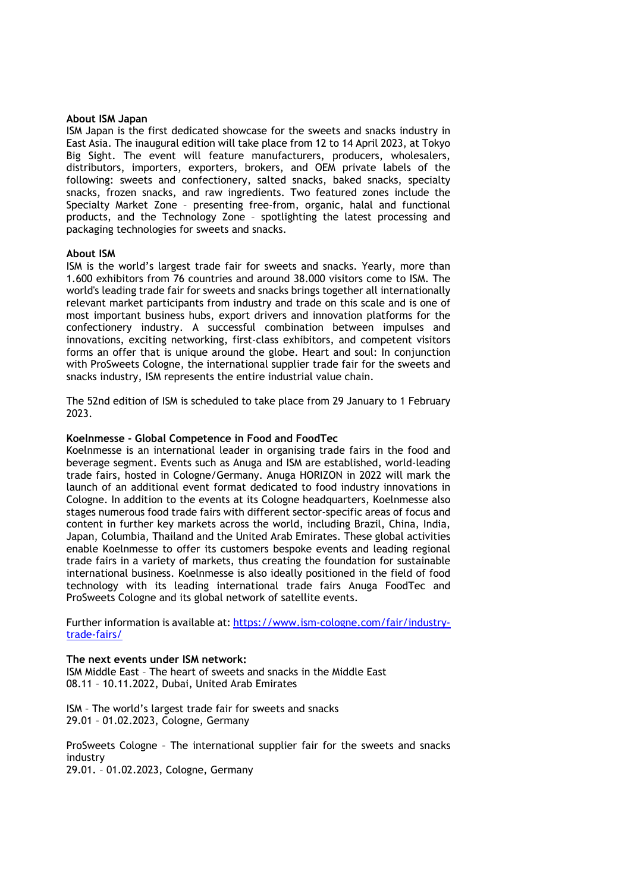#### **About ISM Japan**

ISM Japan is the first dedicated showcase for the sweets and snacks industry in East Asia. The inaugural edition will take place from 12 to 14 April 2023, at Tokyo Big Sight. The event will feature manufacturers, producers, wholesalers, distributors, importers, exporters, brokers, and OEM private labels of the following: sweets and confectionery, salted snacks, baked snacks, specialty snacks, frozen snacks, and raw ingredients. Two featured zones include the Specialty Market Zone – presenting free-from, organic, halal and functional products, and the Technology Zone – spotlighting the latest processing and packaging technologies for sweets and snacks.

#### **About ISM**

ISM is the world's largest trade fair for sweets and snacks. Yearly, more than 1.600 exhibitors from 76 countries and around 38.000 visitors come to ISM. The world's leading trade fair for sweets and snacks brings together all internationally relevant market participants from industry and trade on this scale and is one of most important business hubs, export drivers and innovation platforms for the confectionery industry. A successful combination between impulses and innovations, exciting networking, first-class exhibitors, and competent visitors forms an offer that is unique around the globe. Heart and soul: In conjunction with ProSweets Cologne, the international supplier trade fair for the sweets and snacks industry, ISM represents the entire industrial value chain.

The 52nd edition of ISM is scheduled to take place from 29 January to 1 February 2023.

#### **Koelnmesse - Global Competence in Food and FoodTec**

Koelnmesse is an international leader in organising trade fairs in the food and beverage segment. Events such as Anuga and ISM are established, world-leading trade fairs, hosted in Cologne/Germany. Anuga HORIZON in 2022 will mark the launch of an additional event format dedicated to food industry innovations in Cologne. In addition to the events at its Cologne headquarters, Koelnmesse also stages numerous food trade fairs with different sector-specific areas of focus and content in further key markets across the world, including Brazil, China, India, Japan, Columbia, Thailand and the United Arab Emirates. These global activities enable Koelnmesse to offer its customers bespoke events and leading regional trade fairs in a variety of markets, thus creating the foundation for sustainable international business. Koelnmesse is also ideally positioned in the field of food technology with its leading international trade fairs Anuga FoodTec and ProSweets Cologne and its global network of satellite events.

Further information is available at: https://www.ism-cologne.com/fair/industrytrade-fairs/

**The next events under ISM network:**  ISM Middle East – The heart of sweets and snacks in the Middle East 08.11 – 10.11.2022, Dubai, United Arab Emirates

ISM – The world's largest trade fair for sweets and snacks 29.01 – 01.02.2023, Cologne, Germany

ProSweets Cologne – The international supplier fair for the sweets and snacks industry 29.01. – 01.02.2023, Cologne, Germany